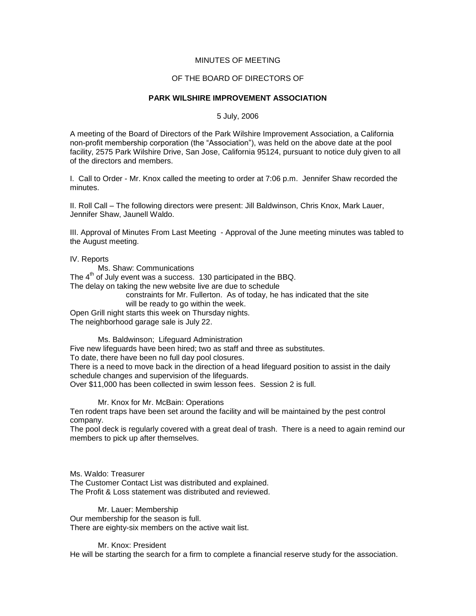## MINUTES OF MEETING

### OF THE BOARD OF DIRECTORS OF

### **PARK WILSHIRE IMPROVEMENT ASSOCIATION**

5 July, 2006

A meeting of the Board of Directors of the Park Wilshire Improvement Association, a California non-profit membership corporation (the "Association"), was held on the above date at the pool facility, 2575 Park Wilshire Drive, San Jose, California 95124, pursuant to notice duly given to all of the directors and members.

I. Call to Order - Mr. Knox called the meeting to order at 7:06 p.m. Jennifer Shaw recorded the minutes.

II. Roll Call – The following directors were present: Jill Baldwinson, Chris Knox, Mark Lauer, Jennifer Shaw, Jaunell Waldo.

III. Approval of Minutes From Last Meeting - Approval of the June meeting minutes was tabled to the August meeting.

IV. Reports

Ms. Shaw: Communications

The  $4<sup>th</sup>$  of July event was a success. 130 participated in the BBQ.

The delay on taking the new website live are due to schedule

constraints for Mr. Fullerton. As of today, he has indicated that the site will be ready to go within the week.

Open Grill night starts this week on Thursday nights.

The neighborhood garage sale is July 22.

Ms. Baldwinson; Lifeguard Administration Five new lifeguards have been hired; two as staff and three as substitutes. To date, there have been no full day pool closures. There is a need to move back in the direction of a head lifeguard position to assist in the daily schedule changes and supervision of the lifeguards. Over \$11,000 has been collected in swim lesson fees. Session 2 is full.

Mr. Knox for Mr. McBain: Operations

Ten rodent traps have been set around the facility and will be maintained by the pest control company.

The pool deck is regularly covered with a great deal of trash. There is a need to again remind our members to pick up after themselves.

Ms. Waldo: Treasurer The Customer Contact List was distributed and explained. The Profit & Loss statement was distributed and reviewed.

Mr. Lauer: Membership Our membership for the season is full. There are eighty-six members on the active wait list.

Mr. Knox: President He will be starting the search for a firm to complete a financial reserve study for the association.